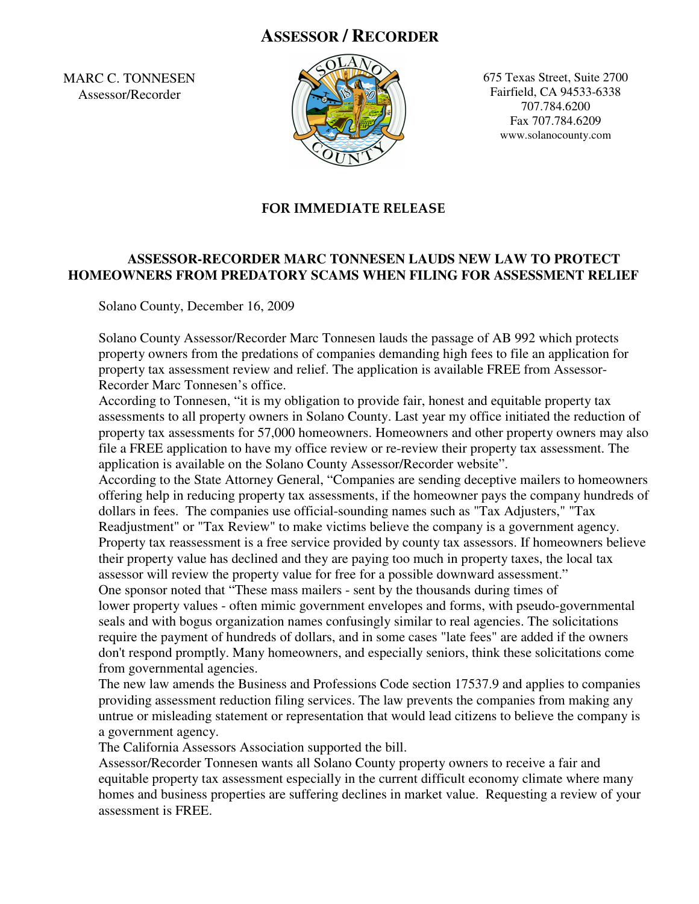## **ASSESSOR / RECORDER**

MARC C. TONNESEN Assessor/Recorder



675 Texas Street, Suite 2700 Fairfield, CA 94533-6338 707.784.6200 Fax 707.784.6209 www.solanocounty.com

## FOR IMMEDIATE RELEASE

## **ASSESSOR-RECORDER MARC TONNESEN LAUDS NEW LAW TO PROTECT HOMEOWNERS FROM PREDATORY SCAMS WHEN FILING FOR ASSESSMENT RELIEF**

Solano County, December 16, 2009

Solano County Assessor/Recorder Marc Tonnesen lauds the passage of AB 992 which protects property owners from the predations of companies demanding high fees to file an application for property tax assessment review and relief. The application is available FREE from Assessor-Recorder Marc Tonnesen's office.

According to Tonnesen, "it is my obligation to provide fair, honest and equitable property tax assessments to all property owners in Solano County. Last year my office initiated the reduction of property tax assessments for 57,000 homeowners. Homeowners and other property owners may also file a FREE application to have my office review or re-review their property tax assessment. The application is available on the Solano County Assessor/Recorder website".

 According to the State Attorney General, "Companies are sending deceptive mailers to homeowners offering help in reducing property tax assessments, if the homeowner pays the company hundreds of dollars in fees. The companies use official-sounding names such as "Tax Adjusters," "Tax Readjustment" or "Tax Review" to make victims believe the company is a government agency. Property tax reassessment is a free service provided by county tax assessors. If homeowners believe their property value has declined and they are paying too much in property taxes, the local tax assessor will review the property value for free for a possible downward assessment." One sponsor noted that "These mass mailers - sent by the thousands during times of lower property values - often mimic government envelopes and forms, with pseudo-governmental seals and with bogus organization names confusingly similar to real agencies. The solicitations require the payment of hundreds of dollars, and in some cases "late fees" are added if the owners don't respond promptly. Many homeowners, and especially seniors, think these solicitations come from governmental agencies.

The new law amends the Business and Professions Code section 17537.9 and applies to companies providing assessment reduction filing services. The law prevents the companies from making any untrue or misleading statement or representation that would lead citizens to believe the company is a government agency.

The California Assessors Association supported the bill.

Assessor/Recorder Tonnesen wants all Solano County property owners to receive a fair and equitable property tax assessment especially in the current difficult economy climate where many homes and business properties are suffering declines in market value. Requesting a review of your assessment is FREE.